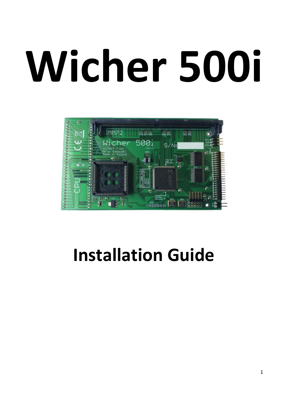# **Wicher 500i**



## **Installation Guide**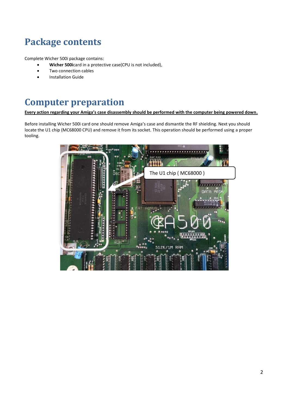## **Package contents**

Complete Wicher 500i package contains:

- **Wicher 500i**card in a protective case(CPU is not included),
- Two connection cables
- Installation Guide

### **Computer preparation**

**Every action regarding your Amiga's case disassembly should be performed with the computer being powered down.**

Before installing Wicher 500i card one should remove Amiga's case and dismantle the RF shielding. Next you should locate the U1 chip (MC68000 CPU) and remove it from its socket. This operation should be performed using a proper tooling.

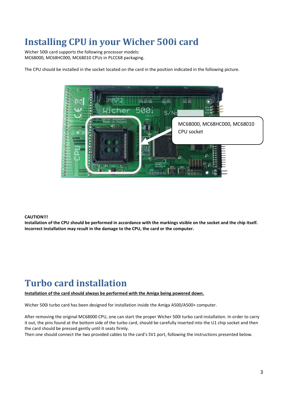## **Installing CPU in your Wicher 500i card**

Wicher 500i card supports the following processor models: MC68000, MC68HC000, MC68010 CPUs in PLCC68 packaging.

The CPU should be installed in the socket located on the card in the position indicated in the following picture.



#### **CAUTION!!!**

**Installation of the CPU should be performed in accordance with the markings visible on the socket and the chip itself. Incorrect installation may result in the damage to the CPU, the card or the computer.**

## **Turbo card installation**

#### **Installation of the card should always be performed with the Amiga being powered down.**

Wicher 500i turbo card has been designed for installation inside the Amiga A500/A500+ computer.

After removing the original MC68000 CPU, one can start the proper Wicher 500i turbo card installation. In order to carry it out, the pins found at the bottom side of the turbo card, should be carefully inserted into the U1 chip socket and then the card should be pressed gently until it seats firmly.

Then one should connect the two provided cables to the card's SV1 port, following the instructions presented below.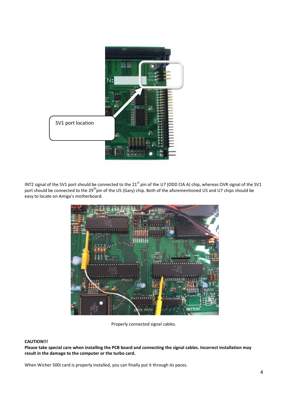

INT2 signal of the SV1 port should be connected to the 21<sup>st</sup> pin of the U7 (ODD CIA A) chip, whereas OVR signal of the SV1 port should be connected to the 29<sup>th</sup>pin of the U5 (Gary) chip. Both of the aforementioned U5 and U7 chips should be easy to locate on Amiga's motherboard.



Properly connected signal cables.

#### **CAUTION!!!**

**Please take special care when installing the PCB board and connecting the signal cables. Incorrect installation may result in the damage to the computer or the turbo card.**

When Wicher 500i card is properly installed, you can finally put it through its paces.